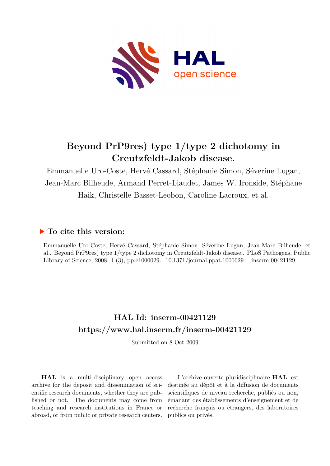

## **Beyond PrP9res) type 1/type 2 dichotomy in Creutzfeldt-Jakob disease.**

Emmanuelle Uro-Coste, Hervé Cassard, Stéphanie Simon, Séverine Lugan, Jean-Marc Bilheude, Armand Perret-Liaudet, James W. Ironside, Stéphane Haik, Christelle Basset-Leobon, Caroline Lacroux, et al.

## **To cite this version:**

Emmanuelle Uro-Coste, Hervé Cassard, Stéphanie Simon, Séverine Lugan, Jean-Marc Bilheude, et al.. Beyond PrP9res) type 1/type 2 dichotomy in Creutzfeldt-Jakob disease.. PLoS Pathogens, Public Library of Science, 2008, 4 (3), pp.e1000029.  $10.1371$ /journal.ppat.1000029 finserm-00421129

## **HAL Id: inserm-00421129 <https://www.hal.inserm.fr/inserm-00421129>**

Submitted on 8 Oct 2009

**HAL** is a multi-disciplinary open access archive for the deposit and dissemination of scientific research documents, whether they are published or not. The documents may come from teaching and research institutions in France or abroad, or from public or private research centers.

L'archive ouverte pluridisciplinaire **HAL**, est destinée au dépôt et à la diffusion de documents scientifiques de niveau recherche, publiés ou non, émanant des établissements d'enseignement et de recherche français ou étrangers, des laboratoires publics ou privés.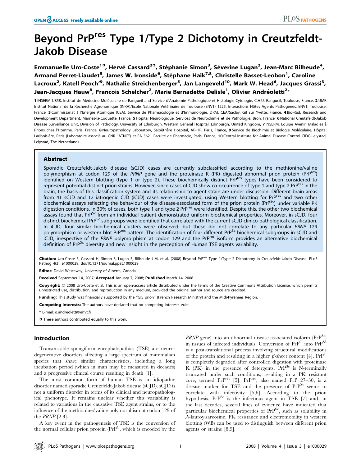# Beyond PrPres Type 1/Type 2 Dichotomy in Creutzfeldt-Jakob Disease

Emmanuelle Uro-Coste<sup>19</sup>, Hervé Cassard<sup>29</sup>, Stéphanie Simon<sup>3</sup>, Séverine Lugan<sup>2</sup>, Jean-Marc Bilheude<sup>4</sup>, Armand Perret-Liaudet<sup>5</sup>, James W. Ironside<sup>6</sup>, Stéphane Haik<sup>7,8</sup>, Christelle Basset-Leobon<sup>1</sup>, Caroline Lacroux<sup>2</sup>, Katell Peoch'<sup>9</sup>, Nathalie Streichenberger<sup>5</sup>, Jan Langeveld<sup>10</sup>, Mark W. Head<sup>6</sup>, Jacques Grassi<sup>3</sup>, Jean-Jacques Hauw<sup>8</sup>, Francois Schelcher<sup>2</sup>, Marie Bernadette Delisle<sup>1</sup>, Olivier Andréoletti<sup>2</sup>\*

1 INSERM U858, Institut de Médecine Moléculaire de Rangueil and Service d'Anatomie Pathologique et Histologie-Cytologie, C.H.U. Rangueil, Toulouse, France, 2 UMR Institut National de la Recherche Agronomique (INRA)/Ecole Nationale Vétérinaire de Toulouse (ENVT) 1225, Interactions Hôtes Agents Pathogènes, ENVT, Toulouse, France, 3 Commissariat à l'Energie Atomique (CEA), Service de Pharmacologie et d'Immunologie, DRM, CEA/Saclay, Gif sur Yvette, France, 4 Bio-Rad, Research and Development Department, Marnes-la-Coquette, France, 5 Hôpital Neurologique, Services de Neurochimie et de Pathologie, Bron, France, 6 National Creutzfeldt-Jakob Disease Surveillance Unit, Division of Pathology, University of Edinburgh, Western General Hospital, Edinburgh, United Kingdom, 7 INSERM, Equipe Avenir, Maladies à Prions chez l'Homme, Paris, France, 8 Neuropathology Laboratory, Salpêtrière Hospital, AP-HP, Paris, France, 9 Service de Biochimie et Biologie Moléculaire, Hôpital Lariboisière, Paris (Laboratoire associé au CNR "ATNC") et EA 3621 Faculté de Pharmacie, Paris, France, 10 Central Institute for Animal Disease Control CIDC-Lelystad, Lelystad, The Netherlands

## Abstract

Sporadic Creutzfeldt-Jakob disease (sCJD) cases are currently subclassified according to the methionine/valine polymorphism at codon 129 of the PRNP gene and the proteinase K (PK) digested abnormal prion protein (PrP<sup>rt</sup> identified on Western blotting (type 1 or type 2). These biochemically distinct PrP<sup>res</sup> types have been considered to represent potential distinct prion strains. However, since cases of CJD show co-occurrence of type 1 and type 2 PrP<sup>res</sup> in the brain, the basis of this classification system and its relationship to agent strain are under discussion. Different brain areas from 41 sCJD and 12 iatrogenic CJD (iCJD) cases were investigated, using Western blotting for PrP<sup>res</sup> and two other biochemical assays reflecting the behaviour of the disease-associated form of the prion protein ( $Pr^{SC}$ ) under variable PK digestion conditions. In 30% of cases, both type 1 and type 2 PrP<sup>res</sup> were identified. Despite this, the other two biochemical assays found that PrP<sup>Sc</sup> from an individual patient demonstrated uniform biochemical properties. Moreover, in sCJD, four distinct biochemical PrP<sup>Sc</sup> subgroups were identified that correlated with the current sCJD clinico-pathological classification. In iCJD, four similar biochemical clusters were observed, but these did not correlate to any particular PRNP 129 polymorphism or western blot PrP<sup>res</sup> pattern. The identification of four different PrP<sup>Sc</sup> biochemical subgroups in sCJD and iCJD, irrespective of the PRNP polymorphism at codon 129 and the PrP<sup>res</sup> isoform provides an alternative biochemical definition of PrP<sup>Sc</sup> diversity and new insight in the perception of Human TSE agents variability.

Citation: Uro-Coste E, Cassard H, Simon S, Lugan S, Bilheude J-M, et al. (2008) Beyond PrP<sup>res</sup> Type 1/Type 2 Dichotomy in Creutzfeldt-Jakob Disease. PLoS Pathog 4(3): e1000029. doi:10.1371/journal.ppat.1000029

Editor: David Westaway, University of Alberta, Canada

Received September 14, 2007; Accepted January 7, 2008; Published March 14, 2008

Copyright: @ 2008 Uro-Coste et al. This is an open-access article distributed under the terms of the Creative Commons Attribution License, which permits unrestricted use, distribution, and reproduction in any medium, provided the original author and source are credited.

Funding: This study was financially supported by the "GIS prion" (French Research Ministry) and the Midi-Pyrénées Region.

Competing Interests: The authors have declared that no competing interests exist.

\* E-mail: o.andreoletti@envt.fr

. These authors contributed equally to this work.

### Introduction

Transmissible spongiform encephalopathies (TSE) are neurodegenerative disorders affecting a large spectrum of mammalian species that share similar characteristics, including a long incubation period (which in man may be measured in decades) and a progressive clinical course resulting in death [1].

The most common form of human TSE is an idiopathic disorder named sporadic Creutzfeldt-Jakob disease (sCJD). sCJD is not a uniform disorder in terms of its clinical and neuropathological phenotype. It remains unclear whether this variability is related to variations in the causative TSE agent strains, or to the influence of the methionine/valine polymorphism at codon 129 of the  $PRNP$  [2,3].

A key event in the pathogenesis of TSE is the conversion of the normal cellular prion protein  $(\text{PrP}^C)$ , which is encoded by the

 $PRNP$  gene) into an abnormal disease-associated isoform ( $PrP^{Sc}$ ) in tissues of infected individuals. Conversion of PrPC into PrP<sup>Sc</sup> is a post-translational process involving structural modifications of the protein and resulting in a higher  $\beta$ -sheet content [4].  $PrP^C$ is completely degraded after controlled digestion with proteinase K (PK) in the presence of detergents.  $PrP^{Sc}$  is N-terminally truncated under such conditions, resulting in a PK resistant core, termed  $PrP<sup>res</sup>$  [5].  $PrP<sup>res</sup>$ , also named  $PrP$  27–30, is a disease marker for TSE and the presence of PrP<sup>Sc</sup> seems to correlate with infectivity [5,6]. According to the prion hypothesis, PrP<sup>Sc</sup> is the infectious agent in TSE [7] and, in the last decades, several lines of evidence have indicated that particular biochemical properties of PrP<sup>Sc</sup>, such as solubility in N-lauroylsarcosine, PK resistance and electromobility in western blotting (WB) can be used to distinguish between different prion agents or strains [8,9].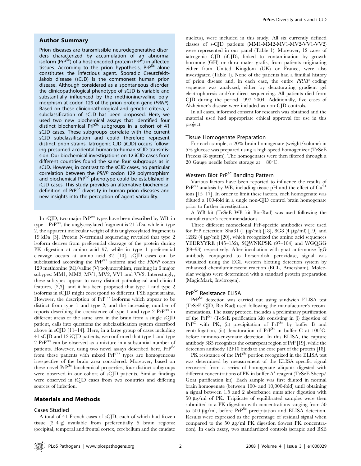#### Author Summary

Prion diseases are transmissible neurodegenerative disorders characterized by accumulation of an abnormal isoform (PrP<sup>Sc</sup>) of a host-encoded protein (PrP<sup>C</sup>) in affected tissues. According to the prion hypothesis,  $PrP^{Sc}$  alone constitutes the infectious agent. Sporadic Creutzfeldt-Jakob disease (sCJD) is the commonest human prion disease. Although considered as a spontaneous disorder, the clinicopathological phenotype of sCJD is variable and substantially influenced by the methionine/valine polymorphism at codon 129 of the prion protein gene (PRNP). Based on these clinicopathological and genetic criteria, a subclassification of sCJD has been proposed. Here, we used two new biochemical assays that identified four distinct biochemical PrP<sup>Sc</sup> subgroups in a cohort of 41 sCJD cases. These subgroups correlate with the current sCJD subclassification and could therefore represent distinct prion strains. Iatrogenic CJD (iCJD) occurs following presumed accidental human-to-human sCJD transmission. Our biochemical investigations on 12 iCJD cases from different countries found the same four subgroups as in sCJD. However, in contrast to the sCJD cases, no particular correlation between the PRNP codon 129 polymorphism and biochemical PrP<sup>Sc</sup> phenotype could be established in iCJD cases. This study provides an alternative biochemical definition of PrP<sup>Sc</sup> diversity in human prion diseases and new insights into the perception of agent variability.

In sCJD, two major PrPres types have been described by WB: in type 1  $PrP<sup>res</sup>$ , the unglycosylated fragment is 21 kDa, while in type 2, the apparent molecular weight of this unglycosylated fragment is 19 kDa [3]. Protein N-terminal sequencing revealed that type 2 isoform derives from preferential cleavage of the protein during PK digestion at amino acid 97, while in type 1 preferential cleavage occurs at amino acid 82 [10]. sCJD cases can be subclassified according the PrP<sup>res</sup> isoform and the PRNP codon 129 methionine (M)/valine (V) polymorphism, resulting in 6 major subypes: MM1, MM2, MV1, MV2, VV1 and VV2. Interestingly, these subtypes appear to carry distinct pathological and clinical features, [2,3], and it has been proposed that type 1 and type 2 isoforms in sCJD might correspond to different TSE agent strains. However, the description of PrPres isoforms which appear to be distinct from type 1 and type 2, and the increasing number of reports describing the coexistence of type 1 and type 2 PrPres in different areas or the same area in the brain from a single sCJD patient, calls into questions the subclassification system described above in sCJD [11–14]. Here, in a large group of cases including 41 sCJD and 12 iCJD patients, we confirmed that type 1 and type 2 PrPres can be observed as a mixture in a substantial number of patients. However, using two novel assays described here, PrP<sup>Sc</sup> from these patients with mixed PrP<sup>res</sup> types are homogeneous irrespective of the brain area considered. Moreover, based on these novel PrP<sup>Sc</sup> biochemical properties, four distinct subgroups were observed in our cohort of sCJD patients. Similar findings were observed in iCJD cases from two countries and differing sources of infection.

### Materials and Methods

#### Cases Studied

A total of 41 French cases of sCJD, each of which had frozen tissue (2–4 g) available from preferentially 5 brain regions: (occipital, temporal and frontal cortex, cerebellum and the caudate

nucleus), were included in this study. All six currently defined classes of s-CJD patients (MM1-MM2-MV1-MV2-VV1-VV2) were represented in our panel (Table 1). Moreover, 12 cases of iatrogenic CJD (iCJD), linked to contamination by growth hormone (GH) or dura mater grafts, from patients originating either from United Kingdom (UK) or France, were also investigated (Table 1). None of the patients had a familial history of prion disease and, in each case, the entire PRNP coding sequence was analyzed, either by denaturating gradient gel electrophoresis and/or direct sequencing. All patients died from CJD during the period 1997–2004. Additionally, five cases of Alzheimer's disease were included as non-CJD controls.

In all cases, informed consent for research was obtained and the material used had appropriate ethical approval for use in this project.

#### Tissue Homogenate Preparation

For each sample, a 20% brain homogenate (weight/volume) in 5% glucose was prepared using a high-speed homogenizer (TeSeE Precess 48 system). The homogenates were then filtered through a 20 Gauge needle before storage at  $-80^{\circ}$ C.

## Western Blot PrP<sup>sc</sup> Banding Pattern

Various factors have been reported to influence the results of  $PrP<sup>res</sup>$  analysis by WB, including tissue pH and the effect of  $Cu<sup>2+</sup>$ ions [15–17]. In order to limit these factors, each homogenate was diluted a 100-fold in a single non-CJD control brain homogenate prior to further investigation.

A WB kit (TeSeE WB kit Bio-Rad) was used following the manufacturer's recommendations.

Three different monoclonal PrP-specific antibodies were used for PrP detection: Sha31 (1  $\mu$ g/ml) [18], 8G8 (4  $\mu$ g/ml) [19] and 12B2 (4 mg/ml) [20], which recognized the amino acid sequences YEDRYYRE (145–152), SQWNKPSK (97–104) and WGQGG (89–93) respectively. After incubation with goat anti-mouse IgG antibody conjugated to horseradish peroxidase, signal was visualized using the ECL western blotting detection system by enhanced chemiluminescent reaction (ECL, Amersham). Molecular weights were determined with a standard protein preparation (MagicMark, Invitrogen).

## PrP<sup>Sc</sup> Resistance ELISA

PrPSc detection was carried out using sandwich ELISA test (TeSeE CJD, Bio-Rad) used following the manufacturer's recommendations. The assay protocol includes a preliminary purification of the  $PrP^{Sc}$  (TeSeE purification kit) consisting in (i) digestion of  $PrP^{C}$  with PK, (ii) precipitation of  $PrP^{Sc}$  by buffer B and centrifugation, (iii) denaturation of  $PrP^{Sc}$  in buffer C at 100°C, before immuno-enzymatic detection. In this ELISA, the capture antibody 3B5 recognizes the octarepeat region of PrP [19], while the detection antibody 12F10 binds to the core part of the protein [18].

PK resistance of the PrP<sup>Sc</sup> portion recognized in the ELISA test was determined by measurement of the ELISA specific signal recovered from a series of homogenate aliquots digested with different concentrations of  $PK$  in buffer  $A'$  reagent (TeSeE Sheep/ Goat purification kit). Each sample was first diluted in normal brain homogenate (between 100- and 10,000-fold) until obtaining a signal between 1.5 and 2 absorbance units after digestion with  $50 \mu g/ml$  of PK. Triplicate of equilibrated samples were then submitted to a PK digestion with concentrations ranging from 50 to 500  $\mu$ g/ml, before PrP<sup>Sc</sup> precipitation and ELISA detection. Results were expressed as the percentage of residual signal when compared to the 50  $\mu$ g/ml PK digestion (lowest PK concentration). In each assay, two standardized controls (scrapie and BSE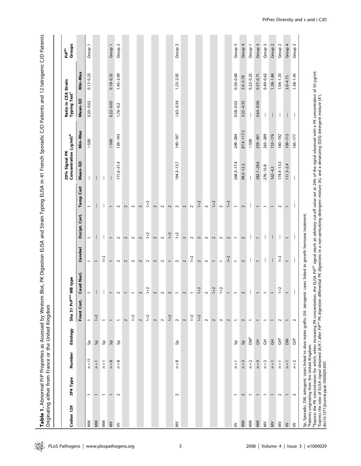Table 1. Abnormal PrP Properties as Assessed by Western Blot, PK Digestion ELISA and Strain Typing ELISA in 41 French Sporadic CJD Patients and 12 latrogenic CJD Patients<br>Originating either from France or the United Kingdo Table 1. Abnormal PrP Properties as Assessed by Western Blot, PK Digestion ELISA and Strain Typing ELISA in 41 French Sporadic CJD Patients and 12 Iatrogenic CJD Patients Originating either from France or the United Kingdom

| Codon 129    | 3F4 Type                              | Number                | Etiology        | Sha 31 Prf               | Pres WB type                                                                                                                                                               |                          |                                                                                                                                                                                                                                                                 |                          | Concentration (ug/ml) <sup>b</sup><br>20% Signal PK |             | Ratio in CEA Strain<br>Typing Test <sup>c</sup> |               | Groups<br>Prp <sup>Sc</sup> |
|--------------|---------------------------------------|-----------------------|-----------------|--------------------------|----------------------------------------------------------------------------------------------------------------------------------------------------------------------------|--------------------------|-----------------------------------------------------------------------------------------------------------------------------------------------------------------------------------------------------------------------------------------------------------------|--------------------------|-----------------------------------------------------|-------------|-------------------------------------------------|---------------|-----------------------------|
|              |                                       |                       |                 | Front Cor                | Caud Nucl.                                                                                                                                                                 | Cerebel                  | Occipt. Cort.                                                                                                                                                                                                                                                   | <b>Temp Cort</b>         | Mean-SD                                             | Min-Max     | Mean-SD                                         | Min-Max       |                             |
| MM           | $\overline{ }$                        | $n=11$                | ٩g              |                          | $\overline{\phantom{0}}$                                                                                                                                                   | $\overline{\phantom{0}}$ |                                                                                                                                                                                                                                                                 | $\overline{ }$           |                                                     | $>500$      | $0.20 - 0.02$                                   | $0.17 - 0.23$ | Group 1                     |
| MM           |                                       | $n=1$                 | ٩B              | $1+2$                    |                                                                                                                                                                            |                          |                                                                                                                                                                                                                                                                 |                          |                                                     |             |                                                 |               |                             |
| MM           |                                       | $n=1$                 | Sρ              | $\overline{\phantom{0}}$ |                                                                                                                                                                            | $1 + 2$                  |                                                                                                                                                                                                                                                                 |                          |                                                     |             |                                                 |               |                             |
| $\geqslant$  |                                       | $n=8$                 | ٩B              | $\overline{\phantom{0}}$ | $\overline{\phantom{0}}$                                                                                                                                                   |                          |                                                                                                                                                                                                                                                                 |                          |                                                     | $>500$      | $0.22 - 0.05$                                   | $0.18 - 0.32$ | Group 1                     |
| $\geq$       | $\sim$                                | $n=8$                 | ٩g              |                          | $\sim$                                                                                                                                                                     | $\sim$                   | $\sim$                                                                                                                                                                                                                                                          | $\sim$                   | $171.6 - 21.4$                                      | 139-193     | $1.76 - 0.2$                                    | $1.45 - 2.09$ | Group <sub>2</sub>          |
|              |                                       |                       |                 | $\sim$                   | $\overline{\phantom{0}}$                                                                                                                                                   | $\sim$                   | $\sim$                                                                                                                                                                                                                                                          | $\sim$                   |                                                     |             |                                                 |               |                             |
|              |                                       |                       |                 | $1+2$                    | $\overline{\phantom{a}}$                                                                                                                                                   | $\sim$                   | $\sim$                                                                                                                                                                                                                                                          | $\sim$                   |                                                     |             |                                                 |               |                             |
|              |                                       |                       |                 | $\sim$                   | $\sim$                                                                                                                                                                     | $\sim$                   | $\sim$                                                                                                                                                                                                                                                          | $\sim$                   |                                                     |             |                                                 |               |                             |
|              |                                       |                       |                 | $1 + 2$                  | $1+2$                                                                                                                                                                      | $\sim$                   | $1+2$                                                                                                                                                                                                                                                           | $1+2$                    |                                                     |             |                                                 |               |                             |
|              |                                       |                       |                 | $\sim$                   | $\sim$                                                                                                                                                                     | $\overline{\mathbf{c}}$  | $\sim$                                                                                                                                                                                                                                                          | $\overline{\mathbf{c}}$  |                                                     |             |                                                 |               |                             |
|              |                                       |                       |                 | $\sim$                   | $\sim$                                                                                                                                                                     | $\sim$                   | $\sim$                                                                                                                                                                                                                                                          | $\sim$                   |                                                     |             |                                                 |               |                             |
|              |                                       |                       |                 | $1 + 2$                  | $\sim$                                                                                                                                                                     | $\overline{ }$           | $1+2$                                                                                                                                                                                                                                                           | $\sim$                   |                                                     |             |                                                 |               |                             |
| $\gtrapprox$ | $\sim$                                | $n=8$                 | နှ              | $\sim$                   | $\overline{\phantom{a}}$                                                                                                                                                   | $\sim$                   | $1+2$                                                                                                                                                                                                                                                           | $\sim$                   | $164.3 - 13.7$                                      | 149-187     | $1.63 - 0.34$                                   | $1.23 - 2.05$ | Group <sub>2</sub>          |
|              |                                       |                       |                 | $\sim$                   | $\sim$                                                                                                                                                                     | $\sim$                   | $\sim$                                                                                                                                                                                                                                                          | $\sim$                   |                                                     |             |                                                 |               |                             |
|              |                                       |                       |                 | $1 + 2$                  | $\overline{\phantom{a}}$                                                                                                                                                   | $1 + 2$                  | $\sim$                                                                                                                                                                                                                                                          | $\sim$                   |                                                     |             |                                                 |               |                             |
|              |                                       |                       |                 | $1 + 2$                  | $1+2$                                                                                                                                                                      | $\sim$                   | $\sim$                                                                                                                                                                                                                                                          | $1 + 2$                  |                                                     |             |                                                 |               |                             |
|              |                                       |                       |                 | $\sim$                   | $\sim$                                                                                                                                                                     | $\sim$                   | $\sim$                                                                                                                                                                                                                                                          | $\sim$                   |                                                     |             |                                                 |               |                             |
|              |                                       |                       |                 | $\sim$                   | $1 + 2$                                                                                                                                                                    | $\overline{\phantom{0}}$ | $\sim$                                                                                                                                                                                                                                                          | $1+2$                    |                                                     |             |                                                 |               |                             |
|              |                                       |                       |                 | $\sim$                   | $1+2$                                                                                                                                                                      | $\overline{\phantom{0}}$ | $\sim$                                                                                                                                                                                                                                                          | $\sim$                   |                                                     |             |                                                 |               |                             |
|              |                                       |                       |                 | $\sim$                   | $\overline{\phantom{0}}$                                                                                                                                                   | $1 + 2$                  | $\sim$                                                                                                                                                                                                                                                          | $1+2$                    |                                                     |             |                                                 |               |                             |
| $\geq$       | $\overline{ }$                        | $n=1$                 | ٩B              | $\overline{\phantom{m}}$ | $\overline{\phantom{0}}$                                                                                                                                                   | $\overline{\phantom{0}}$ | $\overline{ }$                                                                                                                                                                                                                                                  | $\overline{\phantom{0}}$ | $268.3 - 17.4$                                      | 249-284     | $0.58 - 0.02$                                   | $0.56 - 0.60$ | Group <sub>3</sub>          |
| MM           | 2                                     | S<br>$\overline{n}$   | βç              | $\sim$                   | $\sim$                                                                                                                                                                     | $\sim$                   | $\sim$                                                                                                                                                                                                                                                          | $\sim$                   | $98.3 - 12.2$                                       | 87.4-117.2  | $3.25 - 0.35$                                   | $3.0 - 3.78$  | Group 4                     |
| MM           |                                       | $n=2$                 | DM <sup>a</sup> | $\overline{\phantom{m}}$ | $\mathbf{I}$                                                                                                                                                               |                          | $\mathbf{I}$                                                                                                                                                                                                                                                    |                          |                                                     | $>500$      |                                                 | $0.22 - 0.25$ | Group 1                     |
| MM           |                                       | $\mathsf{w}$<br>$n =$ | $\overline{5}$  | $\overline{\phantom{m}}$ | $\overline{\phantom{0}}$                                                                                                                                                   | $\overline{\phantom{0}}$ |                                                                                                                                                                                                                                                                 |                          | 282.1-28.6                                          | 259-301     | $0.64 - 0.06$                                   | $0.57 - 0.71$ | 3<br>Group 3                |
| $\gtrapprox$ | $\overline{\phantom{0}}$              | $n=2$                 | $\overline{5}$  | $\overline{\phantom{0}}$ | $\overline{\phantom{m}}$                                                                                                                                                   | $\mathsf{I}$             | $\mathbf{I}$                                                                                                                                                                                                                                                    |                          | $276 - 15.8$                                        | 263-289     |                                                 | $0.49 - 0.62$ | $\sim$<br>Group             |
| $\gtrapprox$ |                                       | $n = 1$               | $\overline{5}$  | $\overline{\phantom{m}}$ | $\overline{\phantom{0}}$                                                                                                                                                   |                          |                                                                                                                                                                                                                                                                 |                          | $162 - 4.3$                                         | 153-176     |                                                 | $1.28 - 1.84$ | $\sim$<br>Group 2           |
| $\gtrapprox$ | $\sim$                                | $n=1$                 | Ĵ٣              | $\sim$                   | $1+2$                                                                                                                                                                      | $1+2$                    | $\overline{\phantom{a}}$                                                                                                                                                                                                                                        | $\sim$                   | $174.4 - 13.3$                                      | 160-192     | $\overline{\phantom{a}}$                        | $1.04 - 1.35$ | $\sim$<br>Group 2           |
| $\geq$       | $\overline{ }$                        | $n = 1$               | ЫÓ              | $\overline{\phantom{0}}$ | $\overline{\phantom{0}}$                                                                                                                                                   | $\overline{\phantom{0}}$ | $\overline{ }$                                                                                                                                                                                                                                                  | $\overline{ }$           | $111.3 - 2.4$                                       | $109 - 113$ |                                                 | $3.0 - 4.75$  | Group 4                     |
| $\geq$       | $\sim$                                | $\sim$<br>$n =$       | 。<br>15         | $\sim$                   | $\overline{1}$                                                                                                                                                             | $\overline{1}$           | $\overline{1}$                                                                                                                                                                                                                                                  | $\overline{\phantom{a}}$ |                                                     | $165 - 177$ |                                                 | $1.38 - 1.45$ | Group <sub>2</sub>          |
|              |                                       |                       |                 |                          | Sp, Sporadic; DM, iatrogenic cases linked to dura mater grafts; GH, iatrogenic cases linked to growth hormone treatment.<br>"Patients originating from the United Kingdom. |                          | <sup>b</sup> Express the PK concentration for which, when increasing PK concentration, the ELISA Pr <sup>pcs</sup> signal reach an arbitrary cut-off value set at 20% of the signal observed with a PK concentration of 50 µg/ml.<br><sup>C</sup> Express the r |                          |                                                     |             |                                                 |               |                             |
|              | doi:10.1371/journal.ppat.1000029.t001 |                       |                 |                          |                                                                                                                                                                            |                          |                                                                                                                                                                                                                                                                 |                          |                                                     |             |                                                 |               |                             |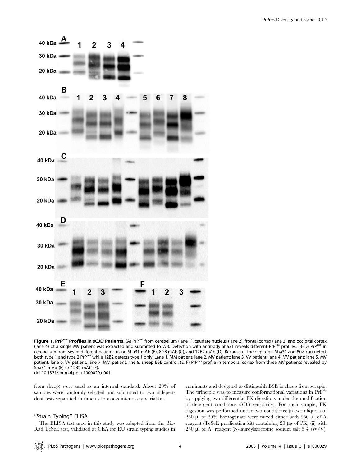

Figure 1. PrP<sup>res</sup> Profiles in sCJD Patients. (A) PrP<sup>res</sup> from cerebellum (lane 1), caudate nucleus (lane 2), frontal cortex (lane 3) and occipital cortex (lane 4) of a single MV patient was extracted and submitted to WB. Detection with antibody Sha31 reveals different PrPres profiles. (B–D) PrP<sup>res</sup> in cerebellum from seven different patients using Sha31 mAb (B), 8G8 mAb (C), and 12B2 mAb (D). Because of their epitope, Sha31 and 8G8 can detect both type 1 and type 2 PrP<sup>res</sup> while 12B2 detects type 1 only. Lane 1, MM patient; lane 2, MV patient; lane 3, VV patient; lane 4, MV patient; lane 5, MV patient; lane 6, VV patient; lane 7, MM patient; line 8, sheep BSE control. (E, F) PrP<sup>res</sup> profile in temporal cortex from three MV patients revealed by Sha31 mAb (E) or 12B2 mAb (F). doi:10.1371/journal.ppat.1000029.g001

from sheep) were used as an internal standard. About 20% of samples were randomly selected and submitted to two independent tests separated in time as to assess inter-assay variation.

## ''Strain Typing'' ELISA

The ELISA test used in this study was adapted from the Bio-Rad TeSeE test, validated at CEA for EU strain typing studies in ruminants and designed to distinguish BSE in sheep from scrapie. The principle was to measure conformational variations in PrP<sup>Sc</sup> by applying two differential PK digestions under the modification of detergent conditions (SDS sensitivity). For each sample, PK digestion was performed under two conditions: (i) two aliquots of 250  $\mu$ l of 20% homogenate were mixed either with 250  $\mu$ l of A reagent (TeSeE purification kit) containing 20  $\mu$ g of PK, (ii) with 250  $\mu$ l of A' reagent (N-lauroylsarcosine sodium salt 5% (W/V),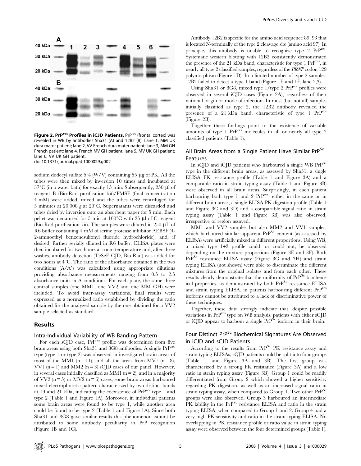

Figure 2. PrP<sup>res</sup> Profiles in iCJD Patients. PrP<sup>res</sup> (frontal cortex) was revealed in WB by antibodies Sha31 (A) and 12B2 (B). Lane 1, MM UK dura mater patient; lane 2, VV French dura mater patient; lane 3, MM GH French patient; lane 4, French MV GH patient; lane 5, MV UK GH patient; lane 6, VV UK GH patient. doi:10.1371/journal.ppat.1000029.g002

sodium dodecyl sulfate 5% (W/V) containing 55  $\mu$ g of PK, All the tubes were then mixed by inversion 10 times and incubated at  $37^{\circ}$ C (in a water bath) for exactly 15 min. Subsequently, 250 µl of reagent B (Bio-Rad purification kit)/PMSF (final concentration 4 mM) were added, mixed and the tubes were centrifuged for 5 minutes at 20,000 g at 20 $^{\circ}$ C. Supernatants were discarded and tubes dried by inversion onto an absorbent paper for 5 min. Each pellet was denatured for 5 min at  $100^{\circ}$ C with 25 µl of C reagent (Bio-Rad purification kit). The samples were diluted in 250  $\mu$ L of R6 buffer containing 4 mM of serine protease inhibitor AEBSF (4- 2-aminoethyl benzenesulfonyl fluoride hydrochloride), and, if desired, further serially diluted in R6 buffer. ELISA plates were then incubated for two hours at room temperature and, after three washes, antibody detection (TeSeE CJD, Bio-Rad) was added for two hours at  $4^{\circ}$ C. The ratio of the absorbance obtained in the two conditions  $(A/A')$  was calculated using appropriate dilutions providing absorbance measurements ranging from 0.5 to 2.5 absorbance units in A conditions. For each plate, the same three control samples (one MM1, one VV2 and one MM GH) were included. To avoid inter-assay variations, final results were expressed as a normalized ratio established by dividing the ratio obtained for the analyzed sample by the one obtained for a VV2 sample selected as standard.

## Results

#### Intra-Individual Variability of WB Banding Pattern

For each sCJD case,  $PrP^{res}$  profile was determined from five brain areas using both Sha31 and 8G8 antibodies. A single PrPres type (type 1 or type 2) was observed in investigated brain areas of most of the MM1 ( $n = 11$ ), and all the areas from MV1 ( $n = 8$ ), VV1  $(n = 1)$  and MM2  $(n = 3)$  sCJD cases of our panel. However, in several cases initially classified as MM1 ( $n = 2$ ), and in a majority of VV2 ( $n = 5$ ) or MV2 ( $n = 6$ ) cases, some brain areas harboured mixed electrophoretic pattern characterized by two distinct bands at 19 and 21 kDa, indicating the coexistence of PrPres type 1 and type 2 (Table 1 and Figure 1A). Moreover, in individual patients some brain areas were found to be type 1, while another area could be found to be type 2 (Table 1 and Figure 1A). Since both Sha31 and 8G8 gave similar results this phenomenon cannot be attributed to some antibody peculiarity in PrP recognition (Figure 1B and 1C).

Antibody 12B2 is specific for the amino acid sequence 89–93 that is located N-terminally of the type 2 cleavage site (amino acid 97). In principle, this antibody is unable to recognize type 2 PrPres. Systematic western blotting with 12B2 consistently demonstrated the presence of the 21 kDa band, characteristic for type 1 PrPres, in nearly all type 2 classified samples, regardless of the PRNP codon 129 polymorphism (Figure 1D). In a limited number of type 2 samples, 12B2 failed to detect a type 1 band (Figure 1E and 1F, lane 2,3).

Using Sha31 or 8G8, mixed type 1/type 2 PrP<sup>res</sup> profiles were observed in several iCJD cases (Figure 2A), regardless of their national origin or mode of infection. In most (but not all) samples initially classified as type 2, the 12B2 antibody revealed the presence of a 21 kDa band, characteristic of type 1 PrPres (Figure 2B).

Together these findings point to the existence of variable amounts of type 1 PrPres molecules in all or nearly all type 2 classified patients (Table 1).

## All Brain Areas from a Single Patient Have Similar PrP<sup>Sc</sup> Features

In sCJD and iCJD patients who harboured a single WB PrP<sup>Sc</sup> type in the different brain areas, as assessed by Sha31, a single ELISA PK resistance profile (Table 1 and Figure 3A) and a comparable ratio in strain typing assay (Table 1 and Figure 3B) were observed in all brain areas. Surprisingly, in each patient harbouring both type 1 and 2 PrP<sup>res</sup>, either in the same or in different brain areas, a single ELISA PK digestion profile (Table 1 and Figure 3C and 3D) and a comparable signal ratio in strain typing assay (Table 1 and Figure 3B) was also observed, irrespective of region assayed.

MM1 and VV2 samples but also MM2 and VV1 samples, which harboured similar apparent  $PrP^{Sc}$  content (as assessed by ELISA) were artificially mixed in different proportions. Using WB, a mixed type 1+2 profile could, or could not, be observed depending on the mixture proportions (Figure 3E and 3F). Both PrP<sup>Sc</sup> resistance ELISA assay (Figure 3G and 3H) and strain typing ELISA (not shown) were able to discriminate the different mixtures from the original isolates and from each other. These results clearly demonstrate that the uniformity of  $PrP^{Sc}$  biochemical properties, as demonstrated by both PrPSc resistance ELISA and strain typing ELISA, in patients harbouring different PrPres isoforms cannot be attributed to a lack of discriminative power of these techniques.

Together, these data strongly indicate that, despite possible variations in PrP<sup>res</sup> type on WB analysis, patients with either sCJD or iCJD appear to harbour a single  $PrP^{Sc}$  isoform in their brain.

## Four Distinct PrP<sup>Sc</sup> Biochemical Signatures Are Observed in iCJD and sCJD Patients

According to the results from PrP<sup>Sc</sup> PK resistance assay and strain typing ELISAs, sCJD patients could be split into four groups (Table 1, and Figure 3A and 3B). The first group was characterized by a strong PK resistance (Figure 3A) and a low ratio in strain typing assay (Figure 3B). Group 1 could be readily differentiated from Group 2 which showed a higher sensitivity regarding PK digestion, as well as an increased signal ratio in strain typing assay, when compared to Group 1. Two other  $PrP^{Sc}$ groups were also observed. Group 3 harboured an intermediate PK lability in the PrP<sup>Sc</sup> resistance ELISA and ratio in the strain typing ELISA, when compared to Group 1 and 2. Group 4 had a very high PK-sensitivity and ratio in the strain typing ELISA. No overlapping in PK resistance profile or ratio value in strain typing assay were observed between the four determined groups (Table 1).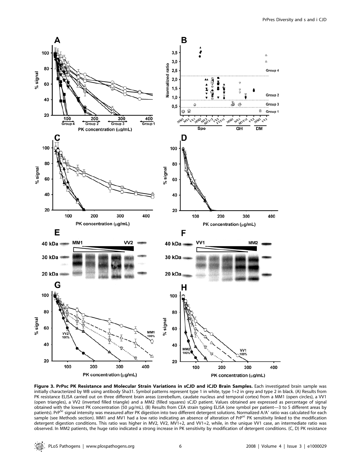

Figure 3. PrPsc PK Resistance and Molecular Strain Variations in sCJD and iCJD Brain Samples. Each investigated brain sample was initially characterized by WB using antibody Sha31. Symbol patterns represent type 1 in white, type 1+2 in grey and type 2 in black. (A) Results from PK resistance ELISA carried out on three different brain areas (cerebellum, caudate nucleus and temporal cortex) from a MM1 (open circles), a VV1 (open triangles), a VV2 (inverted filled triangle) and a MM2 (filled squares) sCJD patient. Values obtained are expressed as percentage of signal obtained with the lowest PK concentration (50 µg/mL). (B) Results from CEA strain typing ELISA (one symbol per patient-3 to 5 different areas by patients). PrP<sup>Sc</sup> signal intensity was measured after PK digestion into two different detergent solutions. Normalized A/A' ratio was calculated for each sample (see Methods section). MM1 and MV1 had a low ratio indicating an absence of alteration of PrP<sup>sc</sup> PK sensitivity linked to the modification detergent digestion conditions. This ratio was higher in MV2, VV2, MV1+2, and VV1+2, while, in the unique VV1 case, an intermediate ratio was observed. In MM2 patients, the huge ratio indicated a strong increase in PK sensitivity by modification of detergent conditions. (C, D) PK resistance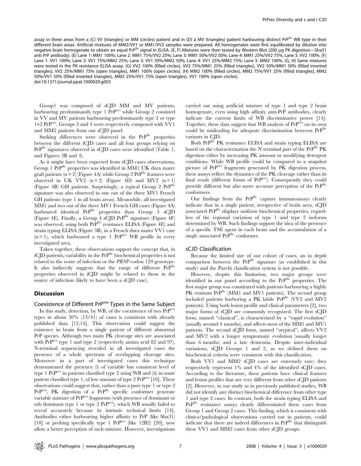assay in three areas from a (C) VV (triangles) or MM (circles) patient and in (D) a MV (triangles) patient harbouring distinct PrP<sup>Sc</sup> WB type in their different brain areas. Artificial mixtures of MM2/VV1 or MM1/VV2 samples were prepared. All homogenates were first equilibrated by dilution into negative brain homogenate to obtain an equal PrP<sup>Sc</sup> signal in ELISA. (E, F) Mixtures were then tested by Western Blot (200 µg PK digestion-Sha31 anti PrP antibody). (E) Lane 1: MM1 100%; Lane 2: MM1 75%/VV2 25%; Lane 3: MM1 50%/VV2 50%; Lane 4: MM1 25%/VV2 75%; Lane 5: VV2 100%. (F) Lane 1: VV1 100%; Lane 2: VV1 75%/MM2 25%; Lane 3: VV1 50%/MM2 50%; Lane 4: VV1 25%/MM2 75%; Lane 5: MM2 100%. (G, H) Same mixtures were tested in the PK resistance ELISA assay. (G) VV2 100% (filled circles), VV2 75%/MM1 25% (filled triangles), VV2 50%/MM1 50% (filled inverted triangles), VV2 25%/MM1 75% (open triangles), MM1 100% (open circles). (H) MM2 100% (filled circles), MM2 75%/VV1 25% (filled triangles), MM2 50%/VV1 50% (filled inverted triangles), MM2 25%/VV1 75% (open triangles), VV1 100% (open circles). doi:10.1371/journal.ppat.1000029.g003

Group1 was composed of sCJD MM and MV patients, harbouring predominantly type 1 PrPres while Group 2 consisted in VV and MV patients harbouring predominantly type 2 or type 1+2 PrPres. Groups 3 and 4 were respectively composed with VV1 and MM2 patients from our sCJD panel.

Striking differences were observed in the PrP<sup>Sc</sup> properties between the different iCJD cases and all four groups relying on  $PrP^{Sc}$  signatures observed in sCJD cases were identified (Table 1, and Figures 3B and 4).

As it might have been expected from sCJD cases observations, Group 1 PrP<sup>Sc</sup> properties was identified in MM1 UK dura mater graft patients ( $n = 2$ ) (Figure 4A) while Group 2 PrP<sup>Sc</sup> features were observed in UK VV2  $(n=2)$  (Figure 4D) and MV2  $(n=1)$ (Figure 4B) GH patients. Surprisingly, a typical Group 2 PrPSc signature was also observed in one out of the three MV1 French GH patients (type 1 in all brain areas). Meanwhile, all investigated MM1 and two out of the three MV1 French GH cases (Figure 4A) harboured identical PrP<sup>Sc</sup> properties than Group 3 sCJD (Figure 4E). Finally, a Group 4 sCJD PrP<sup>Sc</sup> signature (Figure 4F) was observed, using both PrP<sup>Sc</sup> resistance ELISA (Figure 4E) and strain typing ELISA (Figure 3B), in a French dura mater VV1 case  $(n = 1)$ , which harboured a type 1 PrP<sup>res</sup> WB profile in every investigated area.

Taken together, these observations support the concept that, in iCJD patients, variability in the  $PrP^{Sc}$  biochemical properties is not related to the route of infection or the PRNP codon 129 genotype. It also indirectly suggests that the range of different PrP<sup>Sc</sup> properties observed in iCJD might be related to those in the source of infection (likely to have been a sCJD case).

### **Discussion**

## Coexistence of Different PrP<sup>res</sup> Types in the Same Subject

In this study, detection, by WB, of the coexistence of two PrPres types in about 30% (13/41) of cases is consistent with already published data [12,14]. This observation could suggest the existence in brain from a single patient of different abnormal PrP species. Although two main PK cleavage sites are associated with  $Pr^{res}$  type 1 and type 2 (respectively amino acid 82 and 97), N-terminal sequencing revealed in all investigated cases the presence of a whole spectrum of overlapping cleavage sites. Moreover in a part of investigated cases this technique demonstrated the presence (i) of variable but consistent level of type 1 PrPres in patients classified type 2 using WB and (ii) in some patient classified type 1, of low amount of type 2  $PrP<sup>res</sup>$  [10]. These observations could suggest that, rather than a pure type 1 or type 2 PrP<sup>res</sup>, PK digestion of a PrP<sup>Sc</sup> specific conformer generate variable mixture of PrPres fragments (with presence of dominant or sub dominant type 1 or type 2 PrPres), which WB usually failed to reveal accurately because its intrinsic technical limits [14]. Antibodies either harbouring higher affinity to PrP (like Sha31) [18] or probing specifically type 1 PrP<sup>res</sup> (like 12B2) [20], now allow a better perception of such mixture. However, investigations

carried out using artificial mixture of type 1 and type 2 brain homogenate, even using high affinity anti-PrP antibodies, clearly indicate the current limits of WB discriminative power [14]. Together, these data suggest that WB analysis of PrPres on its own could be misleading for adequate discrimination between  $PrP^{Sc}$ variants in CJD.

Both PrP<sup>Sc</sup> PK resistance ELISA and strain typing ELISA are based on the characterization the N terminal part of the  $Pr^{Sc} PK$ digestion either by increasing PK amount or modifying detergent conditions. While WB profile could be compared to a snapshot picture of PrPres fragments generated by PK digestion process, these assays reflect the dynamics of the PK cleavage rather than its final result (different forms of PrPres). Consequently they could provide different but also more accurate perception of the PrP<sup>Sc</sup> conformers.

Our findings from the  $PrP^{Sc}$  capture immunoassays clearly indicate that in a single patient, irrespective of brain area, sCJD associated PrPSc displays uniform biochemical properties, regardless of the regional variation of type 1 and type 2 isoforms determined by WB. Such findings support the idea of the presence of a specific TSE agent in each brain and the accumulation of a single associated PrP<sup>Sc</sup> conformer.

#### sCJD Classification

Because the limited size of our cohort of cases, an in depth comparison between the  $PrP^{Sc}$  signature (as established in this study) and the Parchi classification system is not possible.

However, despite this limitation, two major groups were identified in our panel according to the  $PrP^{SC}$  properties. The first major group was constituted with patients harbouring a highly PK resistant PrP<sup>Sc</sup> (MM1 and MV1 patients). The second group included patients harboring a PK labile  $Pr^{Sc}$  (VV2 and MV2 patients). Using both lesion profile and clinical parameters [2], two major forms of sCJD are commonly recognized. The first sCJD form, named ''classical'', is characterized by a ''rapid evolution'' (usually around 4 months), and affects most of the MM1 and MV1 patients. The second sCJD form, named ''atypical'', affects VV2 and MV2 with a longer symptomatic evolution (usually longer than 6 months) and a late dementia. Despite inter-individual variations, sCJD Groups 1 and 2, as we defined them on biochemical criteria were consistent with this classification.

Both VV1 and MM2 sCJD cases are extremely rare; they respectively represent 1% and 4% of the identified sCJD cases. According to the literature, these patients have clinical features and lesion profiles that are very different from other sCJD patients [2]. However, in our study as in previously published studies, WB did not identify any distinct biochemical difference from other type 1 and type 2 cases. In contrast, both the strain typing ELISA and PrP<sup>Sc</sup> resistance assays clearly differentiated these cases from Group 1 and Group 2 cases. This finding, which is consistent with clinico/pathological observations carried out in patients, could indicate that there are indeed differences in  $Pr^{Sc}$  that distinguish these VV1 and MM2 cases from other sCJD groups.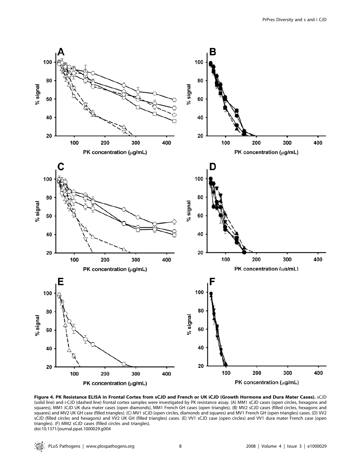

Figure 4. PK Resistance ELISA in Frontal Cortex from sCJD and French or UK iCJD (Growth Hormone and Dura Mater Cases). sCJD (solid line) and i-CJD (dashed line) frontal cortex samples were investigated by PK resistance assay. (A) MM1 sCJD cases (open circles, hexagons and squares), MM1 iCJD UK dura mater cases (open diamonds), MM1 French GH cases (open triangles). (B) MV2 sCJD cases (filled circles, hexagons and squares) and MV2 UK GH case (filled triangles). (C) MV1 sCJD (open circles, diamonds and squares) and MV1 French GH (open triangles) cases. (D) VV2 sCJD (filled circles and hexagons) and VV2 UK GH (filled triangles) cases. (E) VV1 sCJD case (open circles) and VV1 dura mater French case (open triangles). (F) MM2 sCJD cases (filled circles and triangles). doi:10.1371/journal.ppat.1000029.g004